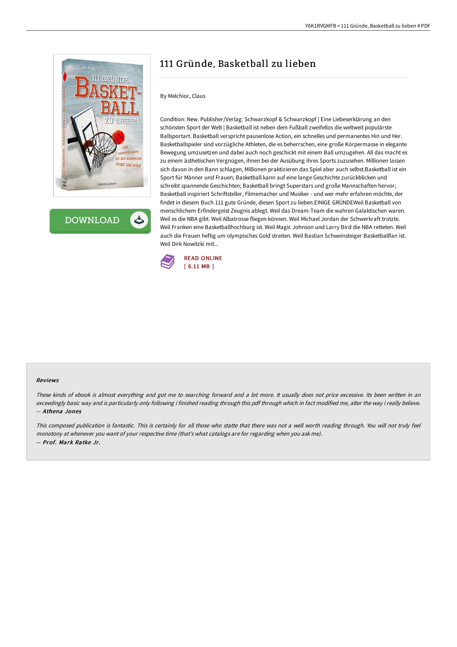

**DOWNLOAD** 

## 111 Gründe, Basketball zu lieben

## By Melchior, Claus

Condition: New. Publisher/Verlag: Schwarzkopf & Schwarzkopf | Eine Liebeserklärung an den schönsten Sport der Welt | Basketball ist neben dem Fußball zweifellos die weltweit populärste Ballsportart. Basketball verspricht pausenlose Action, ein schnelles und permanentes Hin und Her. Basketballspieler sind vorzügliche Athleten, die es beherrschen, eine große Körpermasse in elegante Bewegung umzusetzen und dabei auch noch geschickt mit einem Ball umzugehen. All das macht es zu einem ästhetischen Vergnügen, ihnen bei der Ausübung ihres Sports zuzusehen. Millionen lassen sich davon in den Bann schlagen, Millionen praktizieren das Spiel aber auch selbst.Basketball ist ein Sport für Männer und Frauen; Basketball kann auf eine lange Geschichte zurückblicken und schreibt spannende Geschichten; Basketball bringt Superstars und große Mannschaften hervor; Basketball inspiriert Schriftsteller, Filmemacher und Musiker - und wer mehr erfahren möchte, der findet in diesem Buch 111 gute Gründe, diesen Sport zu lieben.EINIGE GRÜNDEWeil Basketball von menschlichem Erfindergeist Zeugnis ablegt. Weil das Dream-Team die wahren Galaktischen waren. Weil es die NBA gibt. Weil Albatrosse fliegen können. Weil Michael Jordan der Schwerkraft trotzte. Weil Franken eine Basketballhochburg ist. Weil Magic Johnson und Larry Bird die NBA retteten. Weil auch die Frauen heftig um olympisches Gold streiten. Weil Bastian Schweinsteiger Basketballfan ist. Weil Dirk Nowitzki mit...



## Reviews

These kinds of ebook is almost everything and got me to searching forward and <sup>a</sup> lot more. It usually does not price excessive. Its been written in an exceedingly basic way and is particularly only following i finished reading through this pdf through which in fact modified me, alter the way i really believe. -- Athena Jones

This composed publication is fantastic. This is certainly for all those who statte that there was not <sup>a</sup> well worth reading through. You will not truly feel monotony at whenever you want of your respective time (that's what catalogs are for regarding when you ask me). -- Prof. Mark Ratke Jr.